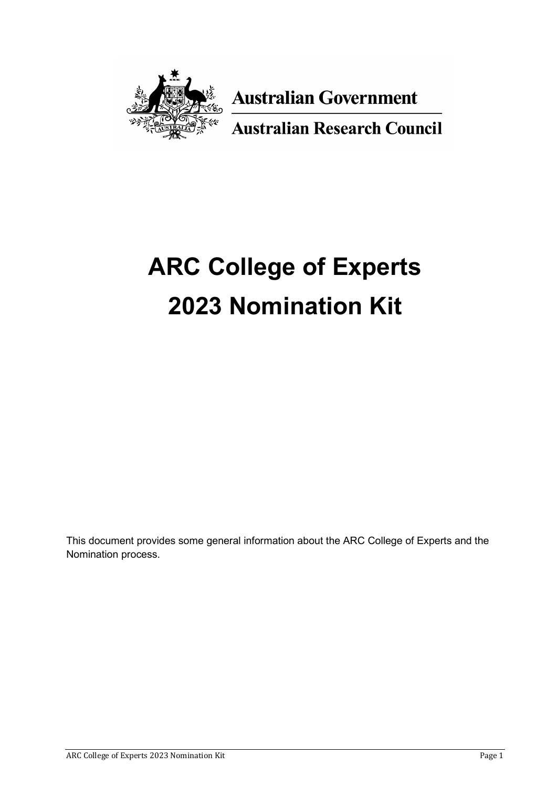

**Australian Government** 

**Australian Research Council** 

# **ARC College of Experts 2023 Nomination Kit**

This document provides some general information about the ARC College of Experts and the Nomination process.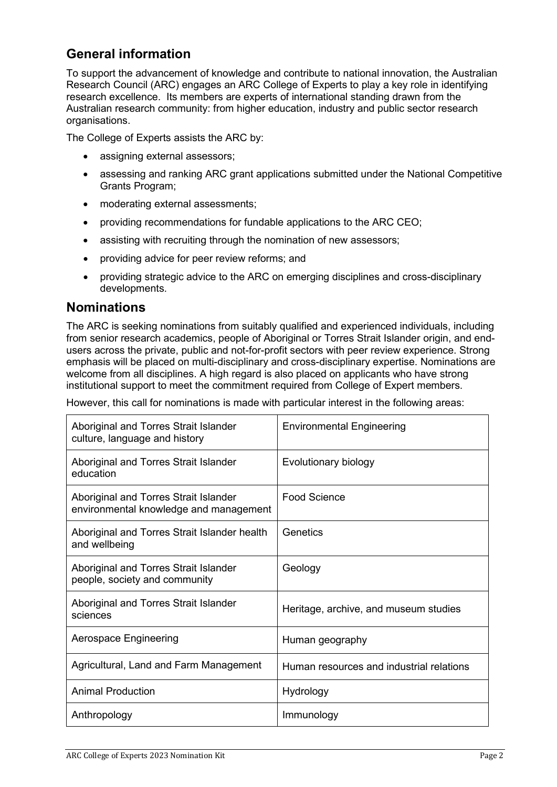# **General information**

To support the advancement of knowledge and contribute to national innovation, the Australian Research Council (ARC) engages an ARC College of Experts to play a key role in identifying research excellence. Its members are experts of international standing drawn from the Australian research community: from higher education, industry and public sector research organisations.

The College of Experts assists the ARC by:

- assigning external assessors;
- assessing and ranking ARC grant applications submitted under the National Competitive Grants Program;
- moderating external assessments;
- providing recommendations for fundable applications to the ARC CEO;
- assisting with recruiting through the nomination of new assessors;
- providing advice for peer review reforms; and
- providing strategic advice to the ARC on emerging disciplines and cross-disciplinary developments.

#### **Nominations**

The ARC is seeking nominations from suitably qualified and experienced individuals, including from senior research academics, people of Aboriginal or Torres Strait Islander origin, and endusers across the private, public and not-for-profit sectors with peer review experience. Strong emphasis will be placed on multi-disciplinary and cross-disciplinary expertise. Nominations are welcome from all disciplines. A high regard is also placed on applicants who have strong institutional support to meet the commitment required from College of Expert members.

However, this call for nominations is made with particular interest in the following areas:

| Aboriginal and Torres Strait Islander<br>culture, language and history          | <b>Environmental Engineering</b>         |
|---------------------------------------------------------------------------------|------------------------------------------|
| Aboriginal and Torres Strait Islander<br>education                              | Evolutionary biology                     |
| Aboriginal and Torres Strait Islander<br>environmental knowledge and management | Food Science                             |
| Aboriginal and Torres Strait Islander health<br>and wellbeing                   | Genetics                                 |
| Aboriginal and Torres Strait Islander<br>people, society and community          | Geology                                  |
| Aboriginal and Torres Strait Islander<br>sciences                               | Heritage, archive, and museum studies    |
| Aerospace Engineering                                                           | Human geography                          |
| Agricultural, Land and Farm Management                                          | Human resources and industrial relations |
| <b>Animal Production</b>                                                        | Hydrology                                |
| Anthropology                                                                    | Immunology                               |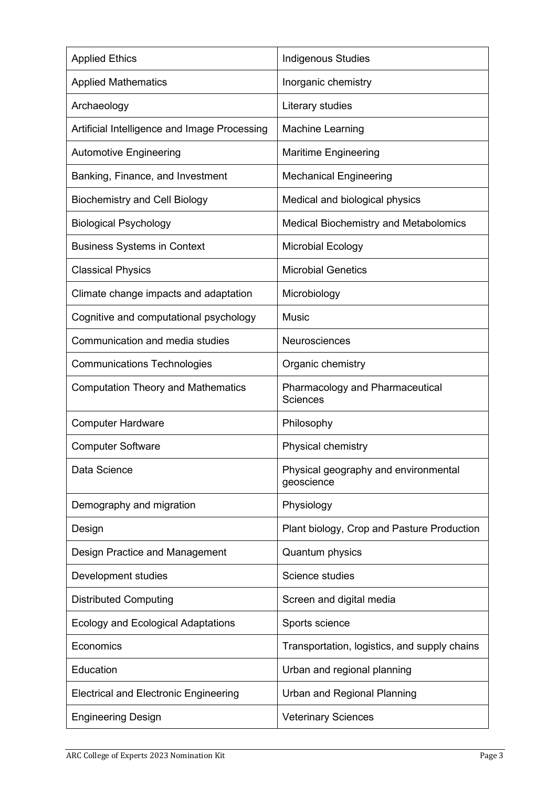| <b>Applied Ethics</b>                        | <b>Indigenous Studies</b>                          |
|----------------------------------------------|----------------------------------------------------|
| <b>Applied Mathematics</b>                   | Inorganic chemistry                                |
| Archaeology                                  | Literary studies                                   |
| Artificial Intelligence and Image Processing | <b>Machine Learning</b>                            |
| <b>Automotive Engineering</b>                | <b>Maritime Engineering</b>                        |
| Banking, Finance, and Investment             | <b>Mechanical Engineering</b>                      |
| <b>Biochemistry and Cell Biology</b>         | Medical and biological physics                     |
| <b>Biological Psychology</b>                 | <b>Medical Biochemistry and Metabolomics</b>       |
| <b>Business Systems in Context</b>           | <b>Microbial Ecology</b>                           |
| <b>Classical Physics</b>                     | <b>Microbial Genetics</b>                          |
| Climate change impacts and adaptation        | Microbiology                                       |
| Cognitive and computational psychology       | <b>Music</b>                                       |
| Communication and media studies              | Neurosciences                                      |
| <b>Communications Technologies</b>           | Organic chemistry                                  |
| <b>Computation Theory and Mathematics</b>    | Pharmacology and Pharmaceutical<br><b>Sciences</b> |
| <b>Computer Hardware</b>                     | Philosophy                                         |
| <b>Computer Software</b>                     | Physical chemistry                                 |
| Data Science                                 | Physical geography and environmental<br>geoscience |
| Demography and migration                     | Physiology                                         |
| Design                                       | Plant biology, Crop and Pasture Production         |
| Design Practice and Management               | Quantum physics                                    |
| Development studies                          | <b>Science studies</b>                             |
| <b>Distributed Computing</b>                 | Screen and digital media                           |
| <b>Ecology and Ecological Adaptations</b>    | Sports science                                     |
| Economics                                    | Transportation, logistics, and supply chains       |
| Education                                    | Urban and regional planning                        |
| <b>Electrical and Electronic Engineering</b> | Urban and Regional Planning                        |
| <b>Engineering Design</b>                    | <b>Veterinary Sciences</b>                         |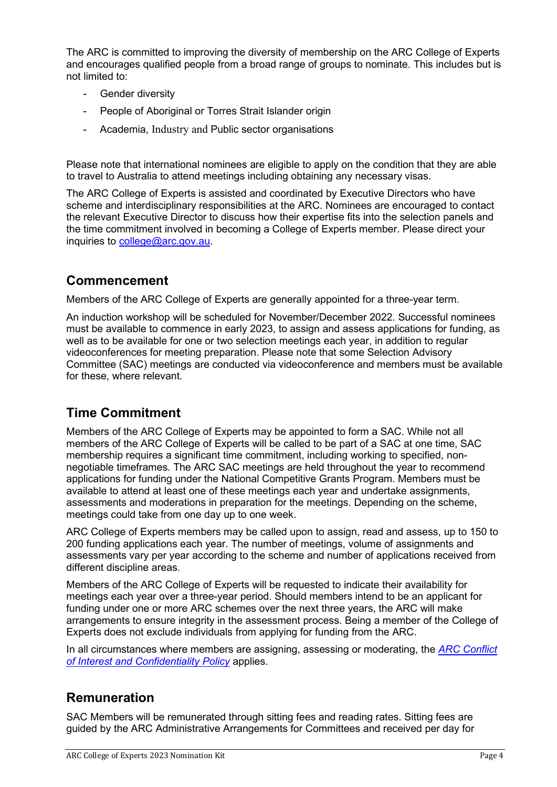The ARC is committed to improving the diversity of membership on the ARC College of Experts and encourages qualified people from a broad range of groups to nominate. This includes but is not limited to:

- Gender diversity
- People of Aboriginal or Torres Strait Islander origin
- Academia, Industry and Public sector organisations

Please note that international nominees are eligible to apply on the condition that they are able to travel to Australia to attend meetings including obtaining any necessary visas.

The ARC College of Experts is assisted and coordinated by Executive Directors who have scheme and interdisciplinary responsibilities at the ARC. Nominees are encouraged to contact the relevant Executive Director to discuss how their expertise fits into the selection panels and the time commitment involved in becoming a College of Experts member. Please direct your inquiries to [college@arc.gov.au.](mailto:college@arc.gov.au)

#### **Commencement**

Members of the ARC College of Experts are generally appointed for a three-year term.

An induction workshop will be scheduled for November/December 2022. Successful nominees must be available to commence in early 2023, to assign and assess applications for funding, as well as to be available for one or two selection meetings each year, in addition to regular videoconferences for meeting preparation. Please note that some Selection Advisory Committee (SAC) meetings are conducted via videoconference and members must be available for these, where relevant.

## **Time Commitment**

Members of the ARC College of Experts may be appointed to form a SAC. While not all members of the ARC College of Experts will be called to be part of a SAC at one time, SAC membership requires a significant time commitment, including working to specified, nonnegotiable timeframes. The ARC SAC meetings are held throughout the year to recommend applications for funding under the National Competitive Grants Program. Members must be available to attend at least one of these meetings each year and undertake assignments, assessments and moderations in preparation for the meetings. Depending on the scheme, meetings could take from one day up to one week.

ARC College of Experts members may be called upon to assign, read and assess, up to 150 to 200 funding applications each year. The number of meetings, volume of assignments and assessments vary per year according to the scheme and number of applications received from different discipline areas.

Members of the ARC College of Experts will be requested to indicate their availability for meetings each year over a three-year period. Should members intend to be an applicant for funding under one or more ARC schemes over the next three years, the ARC will make arrangements to ensure integrity in the assessment process. Being a member of the College of Experts does not exclude individuals from applying for funding from the ARC.

In all circumstances where members are assigning, assessing or moderating, the *[ARC Conflict](https://www.arc.gov.au/policies-strategies/policy/arc-conflict-interest-and-confidentiality-policy/arc-conflict-interest-and-confidentiality-policy-version-20191)  [of Interest and Confidentiality Policy](https://www.arc.gov.au/policies-strategies/policy/arc-conflict-interest-and-confidentiality-policy/arc-conflict-interest-and-confidentiality-policy-version-20191)* applies.

## **Remuneration**

SAC Members will be remunerated through sitting fees and reading rates. Sitting fees are guided by the ARC Administrative Arrangements for Committees and received per day for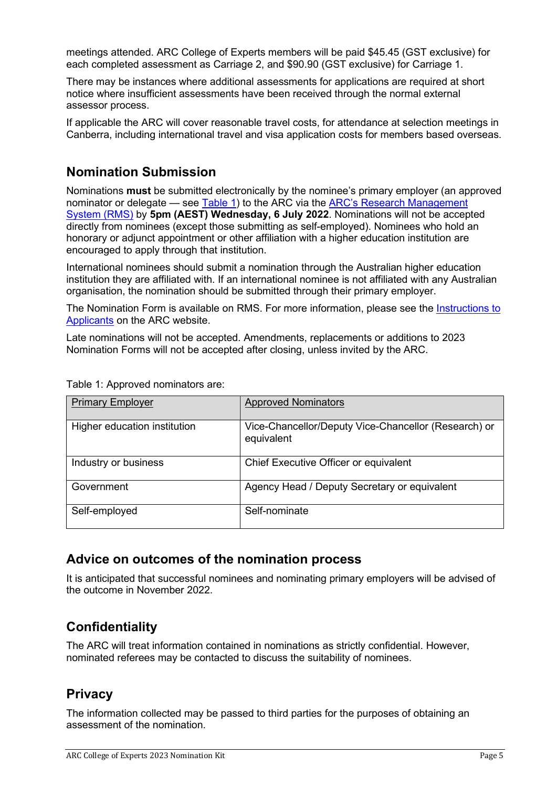meetings attended. ARC College of Experts members will be paid \$45.45 (GST exclusive) for each completed assessment as Carriage 2, and \$90.90 (GST exclusive) for Carriage 1.

There may be instances where additional assessments for applications are required at short notice where insufficient assessments have been received through the normal external assessor process.

If applicable the ARC will cover reasonable travel costs, for attendance at selection meetings in Canberra, including international travel and visa application costs for members based overseas.

# **Nomination Submission**

Nominations **must** be submitted electronically by the nominee's primary employer (an approved nominator or delegate — see [Table 1\)](#page-4-0) to the ARC via the [ARC's Research Management](https://rms.arc.gov.au/RMS/ActionCentre/Account/Login?ReturnUrl=%2fRMS%2fActionCentre%2f)  [System \(RMS\)](https://rms.arc.gov.au/RMS/ActionCentre/Account/Login?ReturnUrl=%2fRMS%2fActionCentre%2f) by **5pm (AEST) Wednesday, 6 July 2022**. Nominations will not be accepted directly from nominees (except those submitting as self-employed). Nominees who hold an honorary or adjunct appointment or other affiliation with a higher education institution are encouraged to apply through that institution.

International nominees should submit a nomination through the Australian higher education institution they are affiliated with. If an international nominee is not affiliated with any Australian organisation, the nomination should be submitted through their primary employer.

The Nomination Form is available on RMS. For more information, please see the Instructions to [Applicants](https://australianresearchcouncil.sharepoint.com/:w:/r/sites/ProgramsBranch/Shared%20Documents/Committees%20Team/ARC%20College%20of%20Experts/2023/Web%20request%20documents/Attachment%20C_CN23_ARC%20College%20of%20Experts_Instructions%20To%20Applicants.docx?d=wa93cf3fbd69b4559bc47fd9c14704cf8&csf=1&web=1&e=maOy5e) on the ARC website.

Late nominations will not be accepted. Amendments, replacements or additions to 2023 Nomination Forms will not be accepted after closing, unless invited by the ARC.

| <b>Primary Employer</b>      | <b>Approved Nominators</b>                                         |
|------------------------------|--------------------------------------------------------------------|
| Higher education institution | Vice-Chancellor/Deputy Vice-Chancellor (Research) or<br>equivalent |
| Industry or business         | Chief Executive Officer or equivalent                              |
| Government                   | Agency Head / Deputy Secretary or equivalent                       |
| Self-employed                | Self-nominate                                                      |

<span id="page-4-0"></span>Table 1: Approved nominators are:

## **Advice on outcomes of the nomination process**

It is anticipated that successful nominees and nominating primary employers will be advised of the outcome in November 2022.

# **Confidentiality**

The ARC will treat information contained in nominations as strictly confidential. However, nominated referees may be contacted to discuss the suitability of nominees.

#### **Privacy**

The information collected may be passed to third parties for the purposes of obtaining an assessment of the nomination.